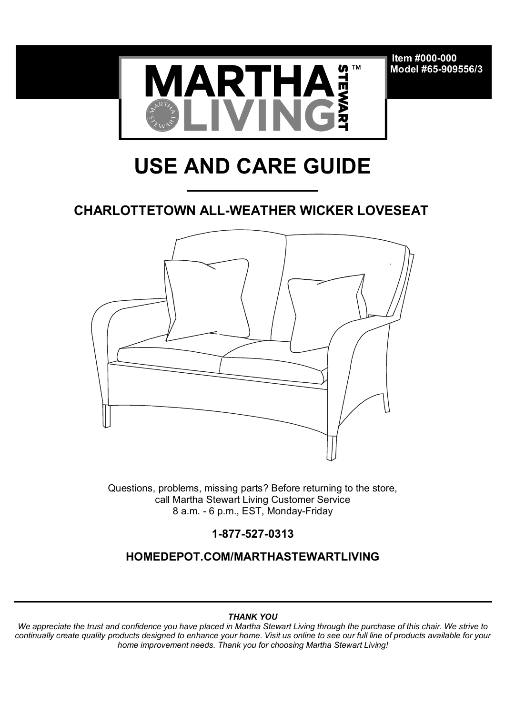**Item #000-000 Model #65-909556/3**



# **USE AND CARE GUIDE**

## **CHARLOTTETOWN ALL-WEATHER WICKER LOVESEAT**



Questions, problems, missing parts? Before returning to the store, call Martha Stewart Living Customer Service 8 a.m. - 6 p.m., EST, Monday-Friday

**1-877-527-0313**

**HOMEDEPOT.COM/MARTHASTEWARTLIVING**

#### *THANK YOU*

*We appreciate the trust and confidence you have placed in Martha Stewart Living through the purchase of this chair. We strive to continually create quality products designed to enhance your home. Visit us online to see our full line of products available for your home improvement needs. Thank you for choosing Martha Stewart Living!*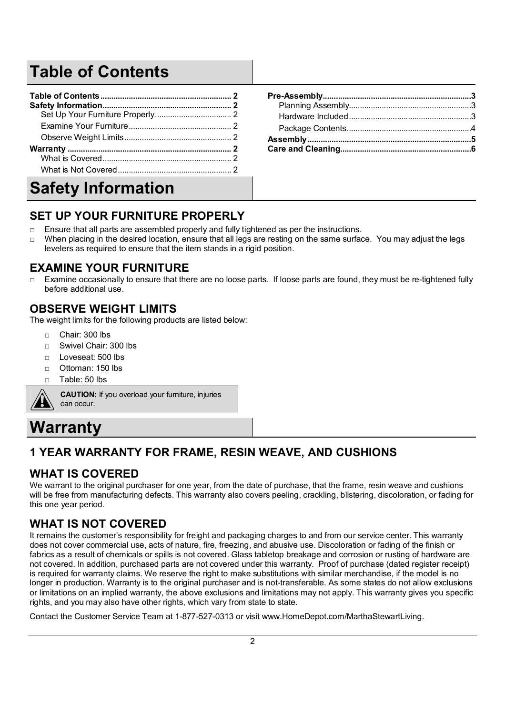## **Table of Contents**

| <b>Safety Information</b> |  |  |
|---------------------------|--|--|

## **SET UP YOUR FURNITURE PROPERLY**

- $\Box$  Ensure that all parts are assembled properly and fully tightened as per the instructions.
- $\Box$  When placing in the desired location, ensure that all legs are resting on the same surface. You may adjust the legs levelers as required to ensure that the item stands in a rigid position.

#### **EXAMINE YOUR FURNITURE**

□ Examine occasionally to ensure that there are no loose parts. If loose parts are found, they must be re-tightened fully before additional use.

#### **OBSERVE WEIGHT LIMITS**

The weight limits for the following products are listed below:

- □ Chair: 300 lbs
- □ Swivel Chair: 300 lbs
- □ Loveseat: 500 lbs
- □ Ottoman: 150 lbs
- $\Box$  Table: 50 lbs

**CAUTION:** If you overload your furniture, injuries can occur.

## **Warranty**

## **1 YEAR WARRANTY FOR FRAME, RESIN WEAVE, AND CUSHIONS**

#### **WHAT IS COVERED**

We warrant to the original purchaser for one year, from the date of purchase, that the frame, resin weave and cushions will be free from manufacturing defects. This warranty also covers peeling, crackling, blistering, discoloration, or fading for this one year period.

#### **WHAT IS NOT COVERED**

It remains the customer's responsibility for freight and packaging charges to and from our service center. This warranty does not cover commercial use, acts of nature, fire, freezing, and abusive use. Discoloration or fading of the finish or fabrics as a result of chemicals or spills is not covered. Glass tabletop breakage and corrosion or rusting of hardware are not covered. In addition, purchased parts are not covered under this warranty. Proof of purchase (dated register receipt) is required for warranty claims. We reserve the right to make substitutions with similar merchandise, if the model is no longer in production. Warranty is to the original purchaser and is not-transferable. As some states do not allow exclusions or limitations on an implied warranty, the above exclusions and limitations may not apply. This warranty gives you specific rights, and you may also have other rights, which vary from state to state.

Contact the Customer Service Team at 1-877-527-0313 or visit www.HomeDepot.com/MarthaStewartLiving.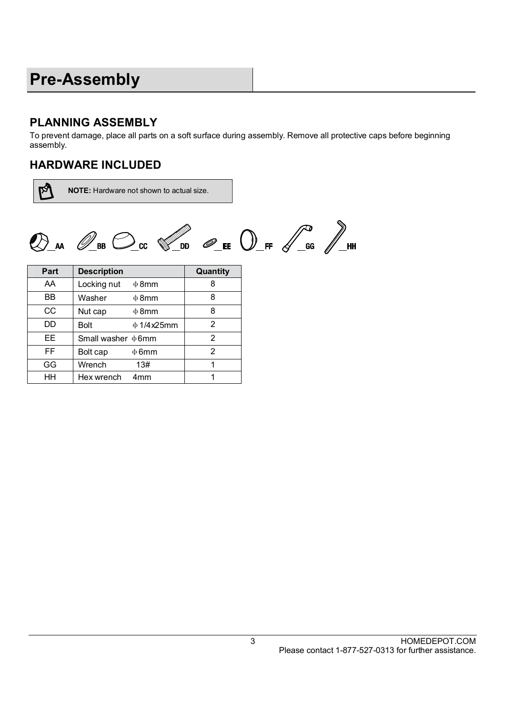## **Pre-Assembly**

## **PLANNING ASSEMBLY**

To prevent damage, place all parts on a soft surface during assembly. Remove all protective caps before beginning assembly.

#### **HARDWARE INCLUDED**

 $\mathbb{Z}$ 

**NOTE:** Hardware not shown to actual size.

 $\bigotimes_{\mathsf{A}\mathsf{A}}\ \mathscr{O}_{\mathsf{B}\mathsf{B}}\ \bigodot_{\mathsf{CC}}\ \mathscr{C}^{\mathscr{O}}_{\mathsf{D}\mathsf{D}}\ \mathscr{O}_{\mathsf{E}}\ \bigodot_{\mathsf{E}}\ \bigodot_{\mathsf{F}}\ \mathscr{C}^{\mathsf{C}}_{\mathsf{G}}\ \mathscr{O}_{\mathsf{H}}\ \mathsf{H}$ 

| Part | <b>Description</b>              | Quantity |
|------|---------------------------------|----------|
| AA   | Locking nut<br>$\Phi$ 8mm       | 8        |
| ВB   | Washer<br>$\Phi$ 8mm            | 8        |
| CC   | Nut cap<br>$\Phi$ 8mm           | 8        |
| DD   | <b>Bolt</b><br>$\Phi$ 1/4 x25mm | 2        |
| EЕ   | Small washer $\Phi$ 6mm         | 2        |
| FF   | Bolt cap<br>$\Phi$ 6mm          | 2        |
| GG   | Wrench<br>13#                   | 1        |
| HН   | Hex wrench<br>4 <sub>mm</sub>   |          |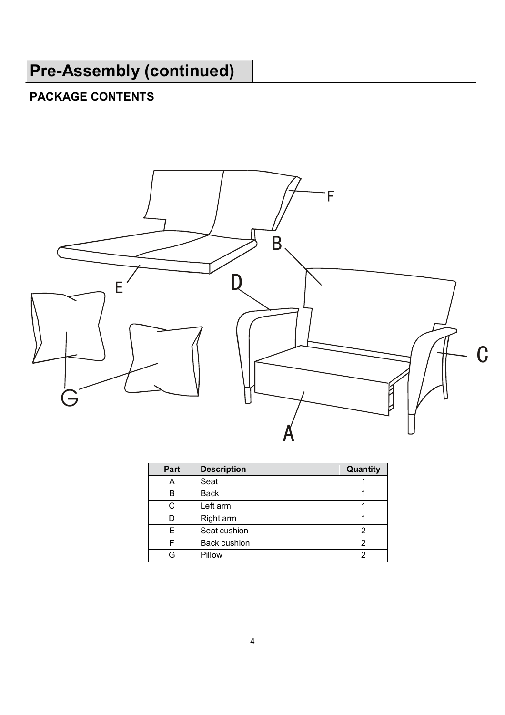# **Pre-Assembly (continued)**

## **PACKAGE CONTENTS**



| Part | <b>Description</b>  | Quantity |
|------|---------------------|----------|
| А    | Seat                |          |
| в    | <b>Back</b>         |          |
| C    | Left arm            |          |
|      | Right arm           |          |
| F    | Seat cushion        |          |
| F    | <b>Back cushion</b> | 2        |
| G    | Pillow              | 2        |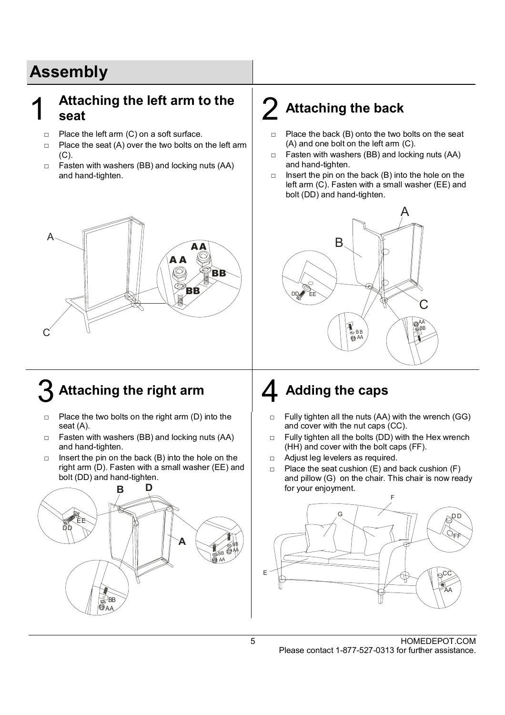## **Assembly**

## 1 Attaching the left arm to the  $\vert$  2 Attaching the back  $\vert$

- □ Place the left arm (C) on a soft surface.
- $\Box$  Place the seat (A) over the two bolts on the left arm (C).
- □ Fasten with washers (BB) and locking nuts (AA) and hand-tighten.

## **A A BB AA**  $\mathsf C$ A **BB**

## Attaching the right arm  $\vert$  **4** Adding the caps

- $\Box$  Place the two bolts on the right arm (D) into the seat (A).
- □ Fasten with washers (BB) and locking nuts (AA) and hand-tighten.
- $\Box$  Insert the pin on the back (B) into the hole on the right arm (D). Fasten with a small washer (EE) and bolt (DD) and hand-tighten.



- $\Box$  Place the back (B) onto the two bolts on the seat (A) and one bolt on the left arm (C).
- $\Box$  Fasten with washers (BB) and locking nuts (AA) and hand-tighten.
- $\Box$  Insert the pin on the back (B) into the hole on the left arm (C). Fasten with a small washer (EE) and bolt (DD) and hand-tighten.



- $\Box$  Fully tighten all the nuts (AA) with the wrench (GG) and cover with the nut caps (CC).
- $\Box$  Fully tighten all the bolts (DD) with the Hex wrench (HH) and cover with the bolt caps (FF).
- □ Adjust leg levelers as required.
- $\Box$  Place the seat cushion (E) and back cushion (F) and pillow (G) on the chair. This chair is now ready for your enjoyment.

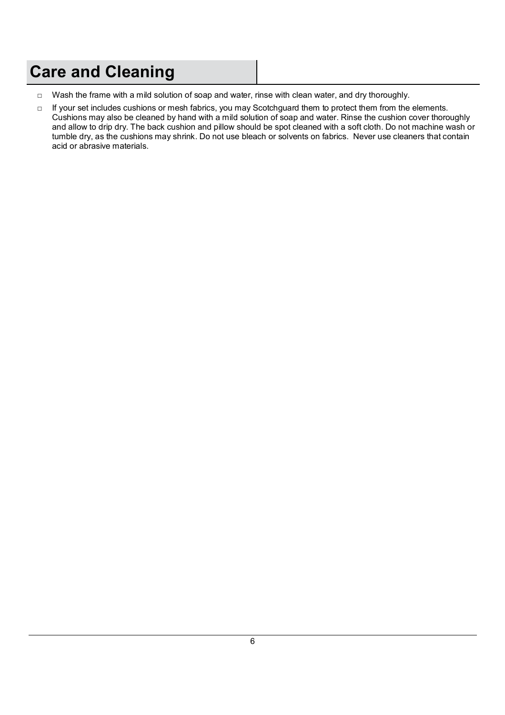## **Care and Cleaning**

- □ Wash the frame with a mild solution of soap and water, rinse with clean water, and dry thoroughly.
- □ If your set includes cushions or mesh fabrics, you may Scotchguard them to protect them from the elements. Cushions may also be cleaned by hand with a mild solution of soap and water. Rinse the cushion cover thoroughly and allow to drip dry. The back cushion and pillow should be spot cleaned with a soft cloth. Do not machine wash or tumble dry, as the cushions may shrink. Do not use bleach or solvents on fabrics. Never use cleaners that contain acid or abrasive materials.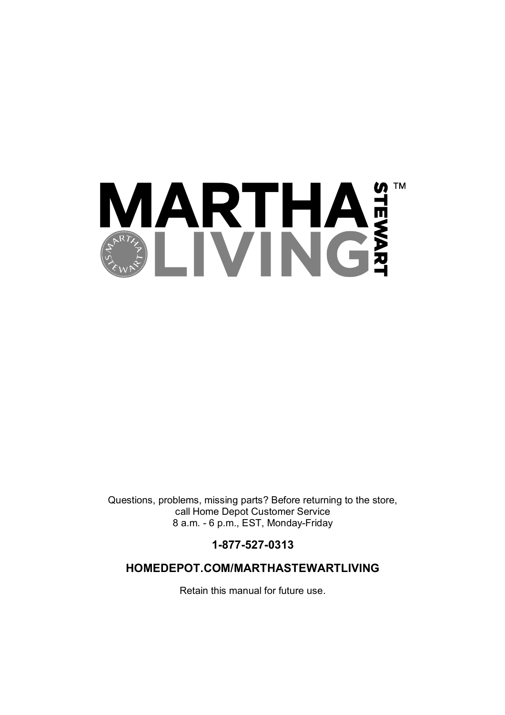

Questions, problems, missing parts? Before returning to the store, call Home Depot Customer Service 8 a.m. - 6 p.m., EST, Monday-Friday

**1-877-527-0313**

#### **HOMEDEPOT.COM/MARTHASTEWARTLIVING**

Retain this manual for future use.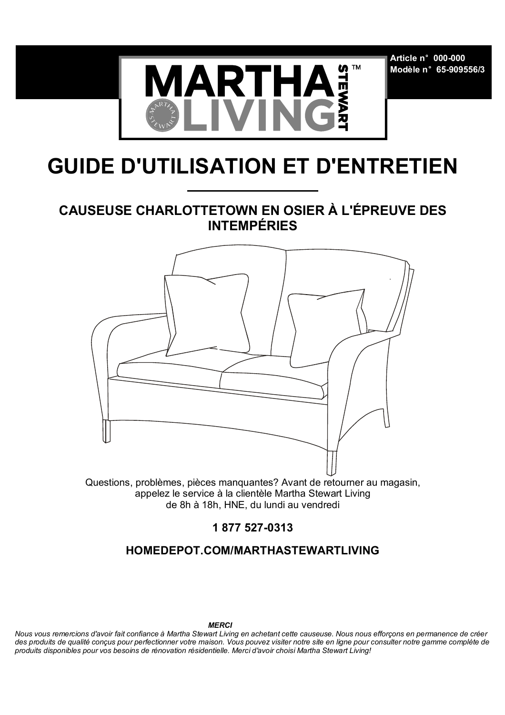**Article n°000-000 Modèle n°65-909556/3**



# **GUIDE D'UTILISATION ET D'ENTRETIEN**

## **CAUSEUSE CHARLOTTETOWN EN OSIER À L'ÉPREUVE DES INTEMPÉRIES**



Questions, problèmes, pièces manquantes? Avant de retourner au magasin, appelez le service à la clientèle Martha Stewart Living de 8h à 18h, HNE, du lundi au vendredi

**1 877 527-0313**

#### **HOMEDEPOT.COM/MARTHASTEWARTLIVING**

*Nous vous remercions d'avoir fait confiance à Martha Stewart Living en achetant cette causeuse. Nous nous efforçons en permanence de créer des produits de qualité conçus pour perfectionner votre maison. Vous pouvez visiter notre site en ligne pour consulter notre gamme complète de produits disponibles pour vos besoins de rénovation résidentielle. Merci d'avoir choisi Martha Stewart Living!*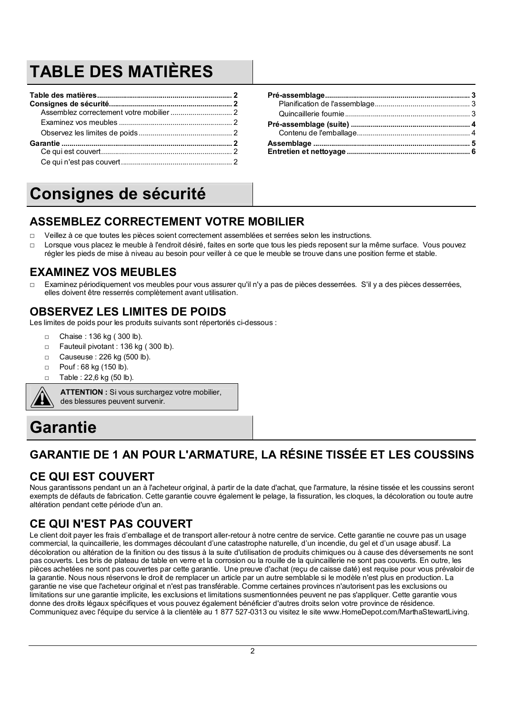## **TABLE DES MATIÈRES**

## **Consignes de sécurité**

## **ASSEMBLEZ CORRECTEMENT VOTRE MOBILIER**

- □ Veillez à ce que toutes les pièces soient correctement assemblées et serrées selon les instructions.
- Lorsque vous placez le meuble à l'endroit désiré, faites en sorte que tous les pieds reposent sur la même surface. Vous pouvez régler les pieds de mise à niveau au besoin pour veiller à ce que le meuble se trouve dans une position ferme et stable.

#### **EXAMINEZ VOS MEUBLES**

Examinez périodiquement vos meubles pour vous assurer qu'il n'y a pas de pièces desserrées. S'il y a des pièces desserrées, elles doivent être resserrés complètement avant utilisation.

#### **OBSERVEZ LES LIMITES DE POIDS**

Les limites de poids pour les produits suivants sont répertoriés ci-dessous :

- □ Chaise : 136 kg ( 300 lb).
- □ Fauteuil pivotant : 136 kg (300 lb).
- □ Causeuse : 226 kg (500 lb).
- □ Pouf : 68 kg (150 lb).
- □ Table : 22,6 kg (50 lb).



**ATTENTION :** Si vous surchargez votre mobilier, des blessures peuvent survenir.

## **Garantie**

## **GARANTIE DE 1 AN POUR L'ARMATURE, LA RÉSINE TISSÉE ET LES COUSSINS**

## **CE QUI EST COUVERT**

Nous garantissons pendant un an à l'acheteur original, à partir de la date d'achat, que l'armature, la résine tissée et les coussins seront exempts de défauts de fabrication. Cette garantie couvre également le pelage, la fissuration, les cloques, la décoloration ou toute autre altération pendant cette période d'un an.

## **CE QUI N'EST PAS COUVERT**

Le client doit payer les frais d'emballage et de transport aller-retour à notre centre de service. Cette garantie ne couvre pas un usage commercial, la quincaillerie, les dommages découlant d'une catastrophe naturelle, d'un incendie, du gel et d'un usage abusif. La décoloration ou altération de la finition ou des tissus à la suite d'utilisation de produits chimiques ou à cause des déversements ne sont pas couverts. Les bris de plateau de table en verre et la corrosion ou la rouille de la quincaillerie ne sont pas couverts. En outre, les pièces achetées ne sont pas couvertes par cette garantie. Une preuve d'achat (reçu de caisse daté) est requise pour vous prévaloir de la garantie. Nous nous réservons le droit de remplacer un article par un autre semblable si le modèle n'est plus en production. La garantie ne vise que l'acheteur original et n'est pas transférable. Comme certaines provinces n'autorisent pas les exclusions ou limitations sur une garantie implicite, les exclusions et limitations susmentionnées peuvent ne pas s'appliquer. Cette garantie vous donne des droits légaux spécifiques et vous pouvez également bénéficier d'autres droits selon votre province de résidence. Communiquez avec l'équipe du service à la clientèle au 1 877 527-0313 ou visitez le site www.HomeDepot.com/MarthaStewartLiving.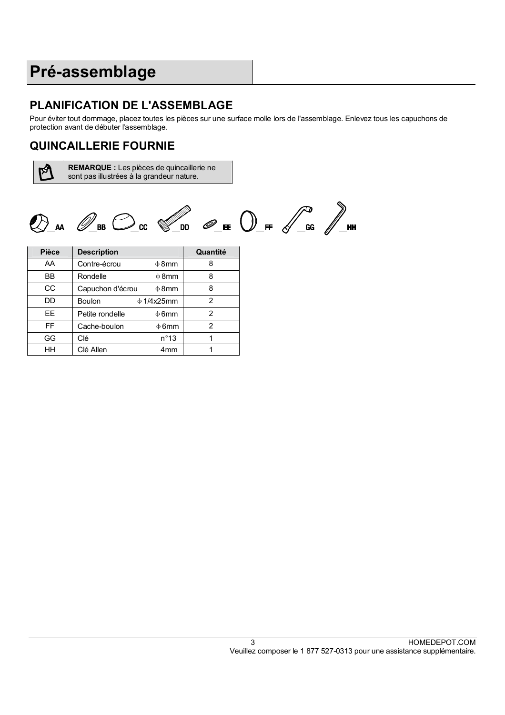## **Pré-assemblage**

## **PLANIFICATION DE L'ASSEMBLAGE**

Pour éviter tout dommage, placez toutes les pièces sur une surface molle lors de l'assemblage. Enlevez tous les capuchons de protection avant de débuter l'assemblage.

## **QUINCAILLERIE FOURNIE**

**A** 

**REMARQUE :** Les pièces de quincaillerie ne sont pas illustrées à la grandeur nature.



| <b>Pièce</b> | <b>Description</b> |                 | Quantité |
|--------------|--------------------|-----------------|----------|
| AA           | Contre-écrou       | $\Phi$ 8mm      | 8        |
| ВB           | Rondelle           | $\Phi$ 8mm      | 8        |
| СC           | Capuchon d'écrou   | $\Phi$ 8mm      | 8        |
| DD           | Boulon             | $\phi$ 1/4x25mm | 2        |
| EE           | Petite rondelle    | $\Phi$ 6mm      | 2        |
| FF           | Cache-boulon       | $\phi$ 6mm      | 2        |
| GG           | Clé                | $n^{\circ}13$   |          |
| HН           | Clé Allen          | 4 <sub>mm</sub> |          |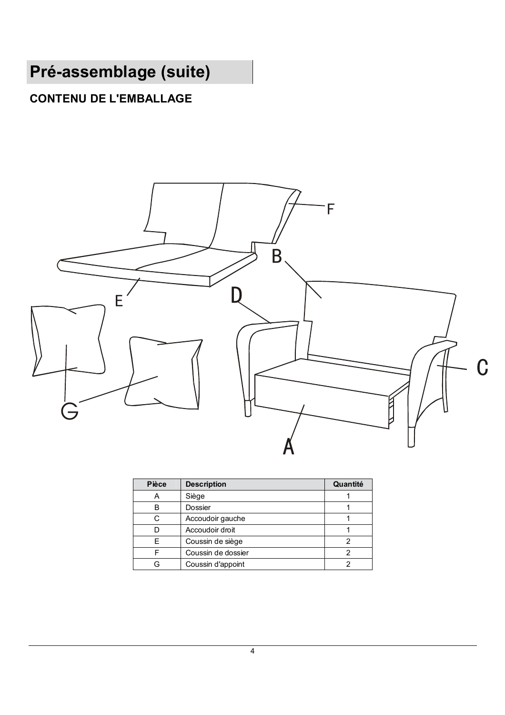## **Pré-assemblage (suite)**

## **CONTENU DE L'EMBALLAGE**



| <b>Pièce</b> | <b>Description</b> | Quantité |
|--------------|--------------------|----------|
| А            | Siège              |          |
| в            | Dossier            |          |
| C            | Accoudoir gauche   |          |
| D            | Accoudoir droit    |          |
| F            | Coussin de siège   | 2        |
| ⊏            | Coussin de dossier |          |
|              | Coussin d'appoint  |          |
|              |                    |          |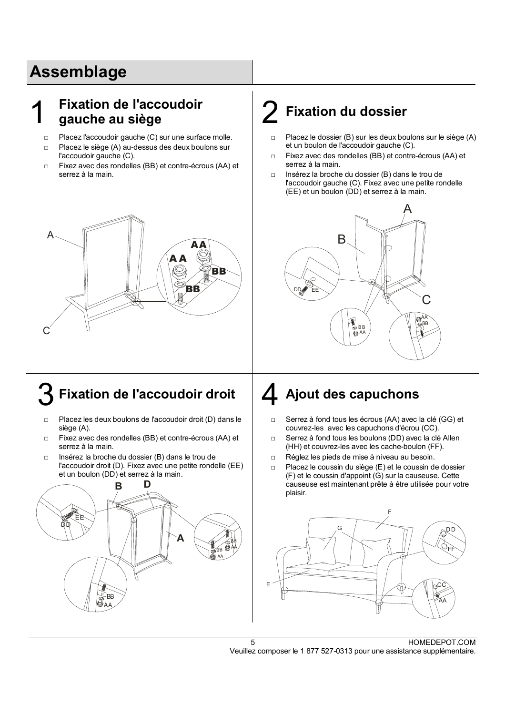## **Assemblage**

#### 1 **Fixation de l'accoudoir gauche au siège** 2 **Fixation du dossier**

- □ Placez l'accoudoir gauche (C) sur une surface molle.
- □ Placez le siège (A) au-dessus des deux boulons sur l'accoudoir gauche (C).
- □ Fixez avec des rondelles (BB) et contre-écrous (AA) et serrez à la main.

## **A A BB AA**  $\mathsf C$ A **BB**

## Fixation de l'accoudoir droit  $\vert$  **4** Ajout des capuchons

- □ Placez les deux boulons de l'accoudoir droit (D) dans le siège (A).
- □ Fixez avec des rondelles (BB) et contre-écrous (AA) et serrez à la main.
- □ Insérez la broche du dossier (B) dans le trou de l'accoudoir droit (D). Fixez avec une petite rondelle (EE) et un boulon (DD) et serrez à la main.



- □ Placez le dossier (B) sur les deux boulons sur le siège (A) et un boulon de l'accoudoir gauche (C).
- □ Fixez avec des rondelles (BB) et contre-écrous (AA) et serrez à la main.
- □ Insérez la broche du dossier (B) dans le trou de l'accoudoir gauche (C). Fixez avec une petite rondelle (EE) et un boulon (DD) et serrez à la main.



- □ Serrez à fond tous les écrous (AA) avec la clé (GG) et couvrez-les avec les capuchons d'écrou (CC).
- □ Serrez à fond tous les boulons (DD) avec la clé Allen (HH) et couvrez-les avec les cache-boulon (FF).
- □ Réglez les pieds de mise à niveau au besoin.
- □ Placez le coussin du siège (E) et le coussin de dossier (F) et le coussin d'appoint (G) sur la causeuse. Cette causeuse est maintenant prête à être utilisée pour votre plaisir.

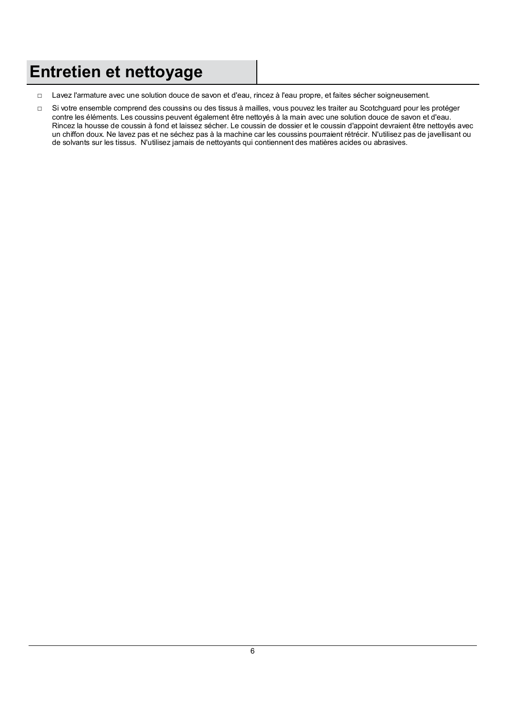## **Entretien et nettoyage**

- □ Lavez l'armature avec une solution douce de savon et d'eau, rincez à l'eau propre, et faites sécher soigneusement.
- □ Si votre ensemble comprend des coussins ou des tissus à mailles, vous pouvez les traiter au Scotchguard pour les protéger contre les éléments. Les coussins peuvent également être nettoyés à la main avec une solution douce de savon et d'eau. Rincez la housse de coussin à fond et laissez sécher. Le coussin de dossier et le coussin d'appoint devraient être nettoyés avec un chiffon doux. Ne lavez pas et ne séchez pas à la machine car les coussins pourraient rétrécir. N'utilisez pas de javellisant ou de solvants sur les tissus. N'utilisez jamais de nettoyants qui contiennent des matières acides ou abrasives.